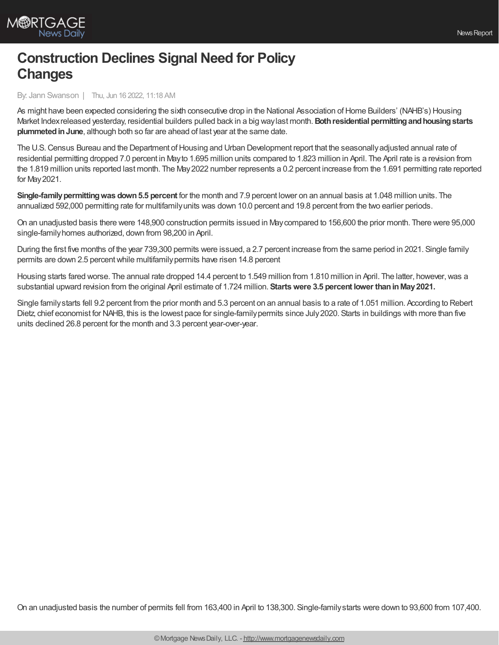## **Construction Declines Signal Need for Policy Changes**

By: Jann Swanson | Thu, Jun 16 2022, 11:18 AM

As might have been expected considering the sixth consecutive drop in the National Association of Home Builders' (NAHB's) Housing Market Indexreleased yesterday, residential builders pulled back in a big waylast month.**Bothresidential permittingandhousingstarts plummetedinJune**, although both so far are ahead of last year at the same date.

The U.S. Census Bureau and the Department of Housing and Urban Development report that the seasonally adjusted annual rate of residential permitting dropped 7.0 percent in Mayto 1.695 million units compared to 1.823 million in April. The April rate is a revision from the 1.819 million units reported last month. The May2022 number represents a 0.2 percent increase from the 1.691 permitting rate reported for May2021.

**Single-family permitting was down 5.5 percent** for the month and 7.9 percent lower on an annual basis at 1.048 million units. The annualized 592,000 permitting rate for multifamilyunits was down 10.0 percent and 19.8 percent from the two earlier periods.

On an unadjusted basis there were 148,900 construction permits issued in Maycompared to 156,600 the prior month. There were 95,000 single-familyhomes authorized, down from 98,200 in April.

During the first five months of the year 739,300 permits were issued, a 2.7 percent increase from the same period in 2021. Single family permits are down 2.5 percent while multifamily permits have risen 14.8 percent

Housing starts fared worse. The annual rate dropped 14.4 percent to 1.549 million from 1.810 million in April. The latter, however, was a substantial upward revision from the original April estimate of 1.724 million. **Startswere 3.5 percent lower thaninMay2021.**

Single familystarts fell 9.2 percent from the prior month and 5.3 percent on an annual basis to a rate of 1.051 million. According to Rebert Dietz, chief economist for NAHB, this is the lowest pace for single-familypermits since July2020. Starts in buildings with more than five units declined 26.8 percent for the month and 3.3 percent year-over-year.

On an unadjusted basis the number of permits fell from 163,400 in April to 138,300. Single-familystarts were down to 93,600 from 107,400.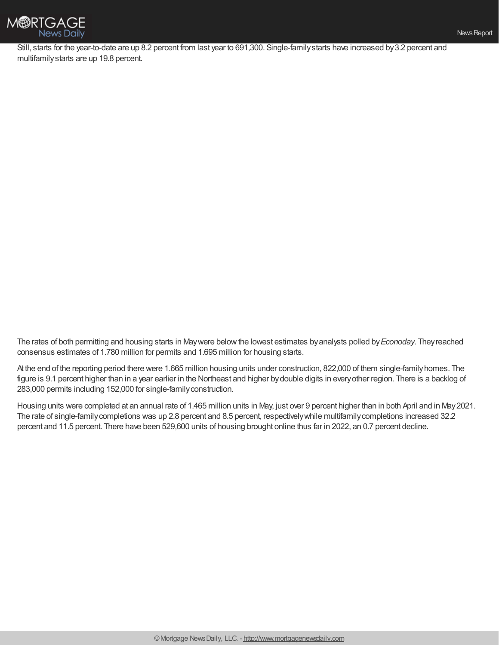

Still, starts for the year-to-date are up 8.2 percent from last year to 691,300. Single-familystarts have increased by3.2 percent and multifamilystarts are up 19.8 percent.

The rates of both permitting and housing starts in Maywere belowthe lowest estimates byanalysts polled by*Econoday*. Theyreached consensus estimates of 1.780 million for permits and 1.695 million for housing starts.

At the end of the reporting period there were 1.665 million housing units under construction, 822,000 of them single-familyhomes. The figure is 9.1 percent higher than in a year earlier in the Northeast and higher bydouble digits in everyother region. There is a backlog of 283,000 permits including 152,000 for single-familyconstruction.

Housing units were completed at an annual rate of 1.465 million units in May, just over 9 percent higher than in both April and in May2021. The rate of single-familycompletions was up 2.8 percent and 8.5 percent, respectivelywhile multifamilycompletions increased 32.2 percent and 11.5 percent. There have been 529,600 units of housing brought online thus far in 2022, an 0.7 percent decline.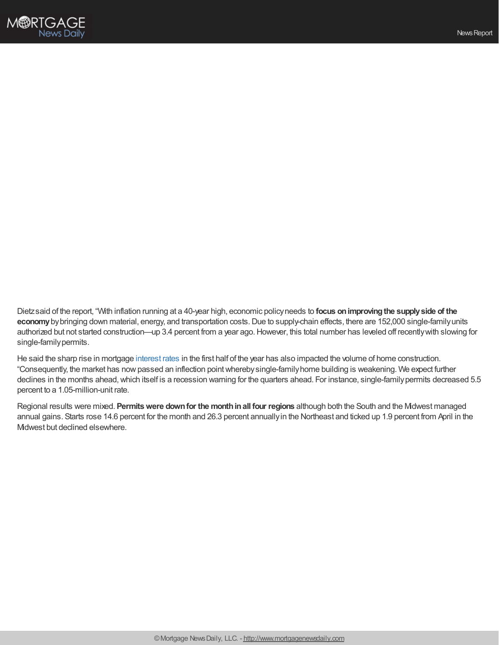

Dietzsaid of the report, "With inflation running at a 40-year high, economic policyneeds to **focus onimprovingthe supplyside of the** economy by bringing down material, energy, and transportation costs. Due to supply-chain effects, there are 152,000 single-family units authorized but not started construction—up 3.4 percent from a year ago.However, this total number has leveled off recentlywith slowing for single-family permits.

He said the sharp rise in mortgage [interest](https://www.mortgagenewsdaily.com/mortgage-rates) rates in the first half of the year has also impacted the volume of home construction. "Consequently, the market has nowpassed an inflection pointwherebysingle-familyhome building is weakening. We expect further declines in the months ahead, which itself is a recession warning for the quarters ahead. For instance, single-family permits decreased 5.5 percent to a 1.05-million-unit rate.

Regional results were mixed. **Permitswere downfor the monthinall four regions** although both the South and the Midwest managed annual gains. Starts rose 14.6 percent for the month and 26.3 percent annuallyin the Northeast and ticked up 1.9 percent from April in the Midwest but declined elsewhere.